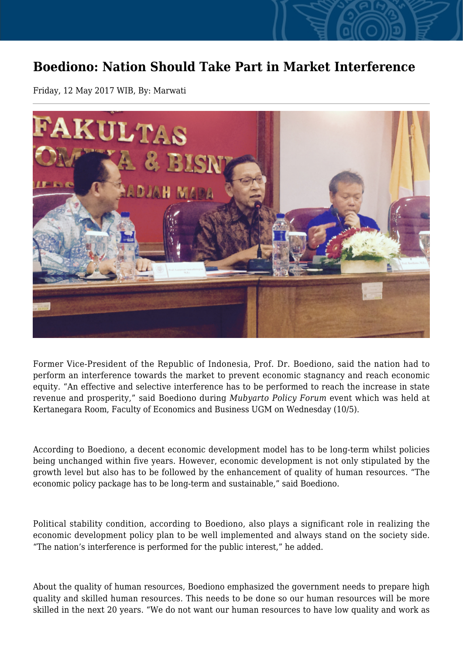## **Boediono: Nation Should Take Part in Market Interference**

Friday, 12 May 2017 WIB, By: Marwati



Former Vice-President of the Republic of Indonesia, Prof. Dr. Boediono, said the nation had to perform an interference towards the market to prevent economic stagnancy and reach economic equity. "An effective and selective interference has to be performed to reach the increase in state revenue and prosperity," said Boediono during *Mubyarto Policy Forum* event which was held at Kertanegara Room, Faculty of Economics and Business UGM on Wednesday (10/5).

According to Boediono, a decent economic development model has to be long-term whilst policies being unchanged within five years. However, economic development is not only stipulated by the growth level but also has to be followed by the enhancement of quality of human resources. "The economic policy package has to be long-term and sustainable," said Boediono.

Political stability condition, according to Boediono, also plays a significant role in realizing the economic development policy plan to be well implemented and always stand on the society side. "The nation's interference is performed for the public interest," he added.

About the quality of human resources, Boediono emphasized the government needs to prepare high quality and skilled human resources. This needs to be done so our human resources will be more skilled in the next 20 years. "We do not want our human resources to have low quality and work as